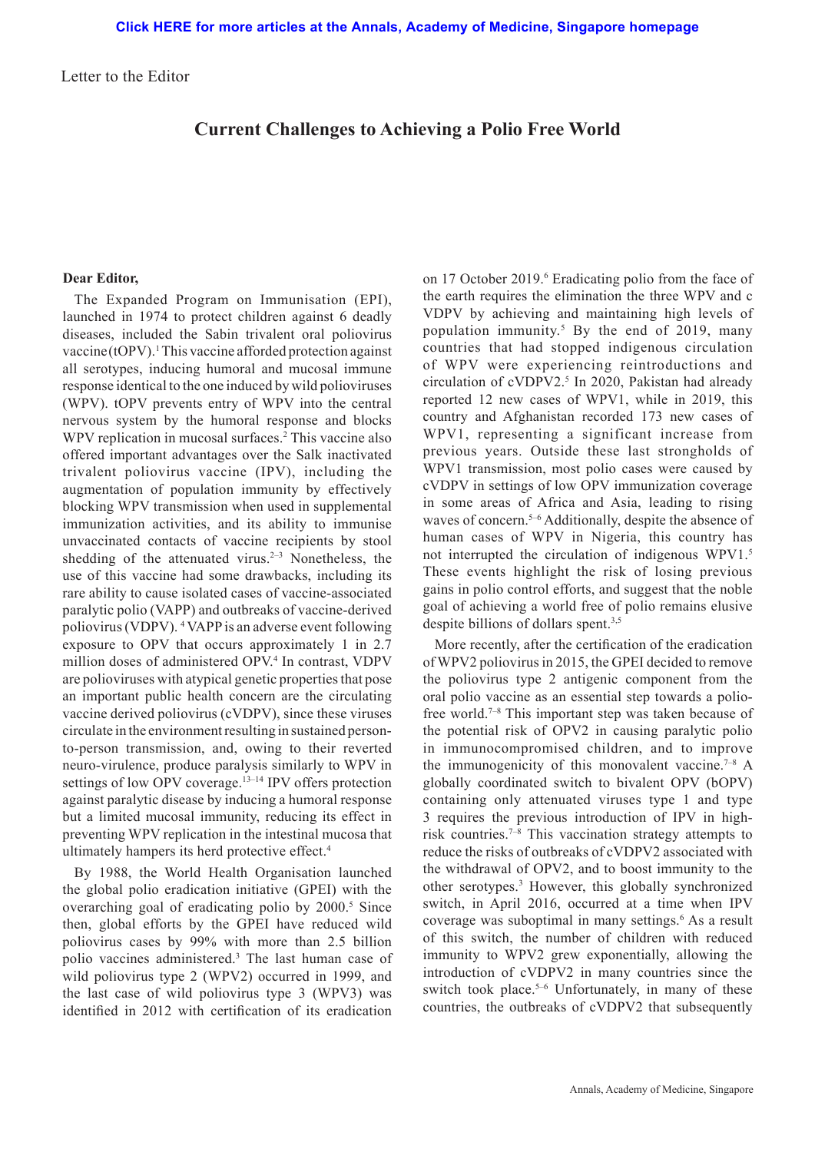Letter to the Editor

## **Current Challenges to Achieving a Polio Free World**

## **Dear Editor,**

The Expanded Program on Immunisation (EPI), launched in 1974 to protect children against 6 deadly diseases, included the Sabin trivalent oral poliovirus vaccine (tOPV).<sup>1</sup> This vaccine afforded protection against all serotypes, inducing humoral and mucosal immune response identical to the one induced by wild polioviruses (WPV). tOPV prevents entry of WPV into the central nervous system by the humoral response and blocks WPV replication in mucosal surfaces.<sup>2</sup> This vaccine also offered important advantages over the Salk inactivated trivalent poliovirus vaccine (IPV), including the augmentation of population immunity by effectively blocking WPV transmission when used in supplemental immunization activities, and its ability to immunise unvaccinated contacts of vaccine recipients by stool shedding of the attenuated virus. $2-3$  Nonetheless, the use of this vaccine had some drawbacks, including its rare ability to cause isolated cases of vaccine-associated paralytic polio (VAPP) and outbreaks of vaccine-derived poliovirus (VDPV). 4 VAPP is an adverse event following exposure to OPV that occurs approximately 1 in 2.7 million doses of administered OPV.4 In contrast, VDPV are polioviruses with atypical genetic properties that pose an important public health concern are the circulating vaccine derived poliovirus (cVDPV), since these viruses circulate in the environment resulting in sustained personto-person transmission, and, owing to their reverted neuro-virulence, produce paralysis similarly to WPV in settings of low OPV coverage.<sup>13–14</sup> IPV offers protection against paralytic disease by inducing a humoral response but a limited mucosal immunity, reducing its effect in preventing WPV replication in the intestinal mucosa that ultimately hampers its herd protective effect.4

By 1988, the World Health Organisation launched the global polio eradication initiative (GPEI) with the overarching goal of eradicating polio by 2000.<sup>5</sup> Since then, global efforts by the GPEI have reduced wild poliovirus cases by 99% with more than 2.5 billion polio vaccines administered.<sup>3</sup> The last human case of wild poliovirus type 2 (WPV2) occurred in 1999, and the last case of wild poliovirus type 3 (WPV3) was identified in 2012 with certification of its eradication

on 17 October 2019.<sup>6</sup> Eradicating polio from the face of the earth requires the elimination the three WPV and c VDPV by achieving and maintaining high levels of population immunity.5 By the end of 2019, many countries that had stopped indigenous circulation of WPV were experiencing reintroductions and circulation of cVDPV2.<sup>5</sup> In 2020, Pakistan had already reported 12 new cases of WPV1, while in 2019, this country and Afghanistan recorded 173 new cases of WPV1, representing a significant increase from previous years. Outside these last strongholds of WPV1 transmission, most polio cases were caused by cVDPV in settings of low OPV immunization coverage in some areas of Africa and Asia, leading to rising waves of concern.<sup>5–6</sup> Additionally, despite the absence of human cases of WPV in Nigeria, this country has not interrupted the circulation of indigenous WPV1.5 These events highlight the risk of losing previous gains in polio control efforts, and suggest that the noble goal of achieving a world free of polio remains elusive despite billions of dollars spent.<sup>3,5</sup>

More recently, after the certification of the eradication of WPV2 poliovirus in 2015, the GPEI decided to remove the poliovirus type 2 antigenic component from the oral polio vaccine as an essential step towards a poliofree world.<sup>7–8</sup> This important step was taken because of the potential risk of OPV2 in causing paralytic polio in immunocompromised children, and to improve the immunogenicity of this monovalent vaccine.<sup>7-8</sup> A globally coordinated switch to bivalent OPV (bOPV) containing only attenuated viruses type 1 and type 3 requires the previous introduction of IPV in highrisk countries.7–8 This vaccination strategy attempts to reduce the risks of outbreaks of cVDPV2 associated with the withdrawal of OPV2, and to boost immunity to the other serotypes.3 However, this globally synchronized switch, in April 2016, occurred at a time when IPV coverage was suboptimal in many settings.<sup>6</sup> As a result of this switch, the number of children with reduced immunity to WPV2 grew exponentially, allowing the introduction of cVDPV2 in many countries since the switch took place.<sup>5–6</sup> Unfortunately, in many of these countries, the outbreaks of cVDPV2 that subsequently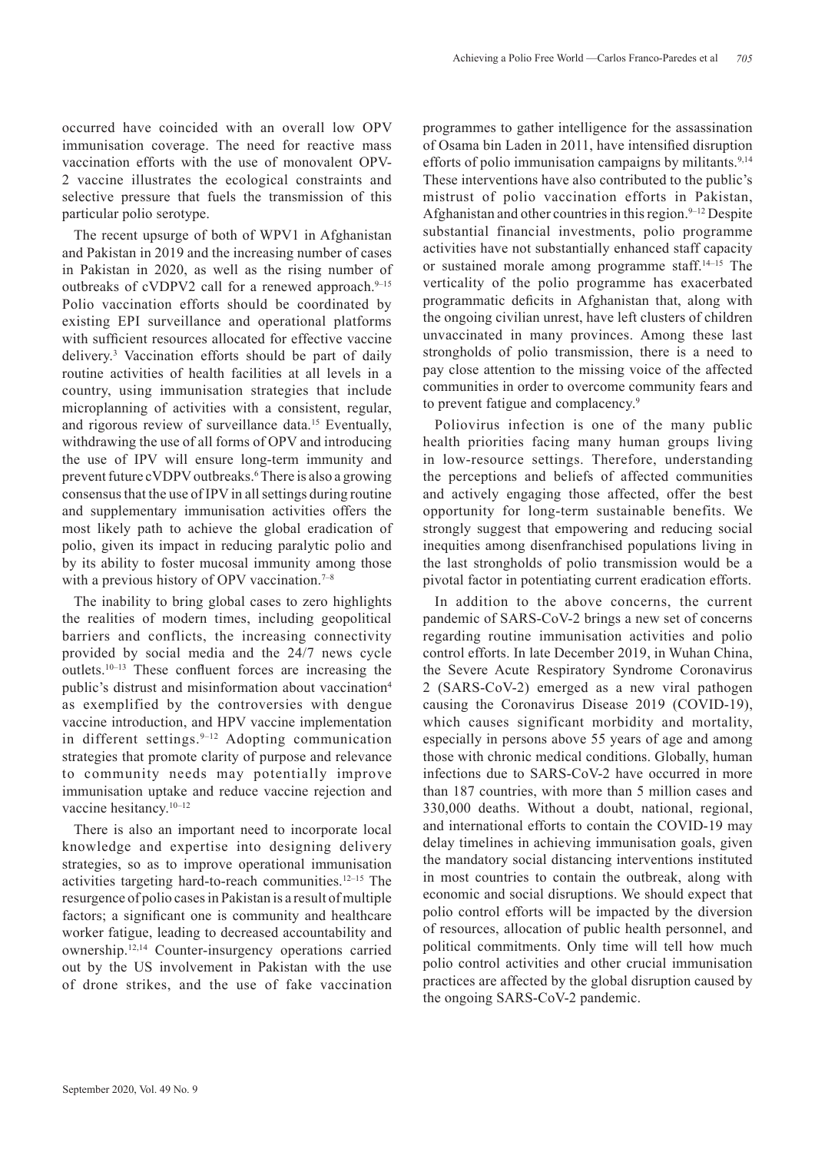occurred have coincided with an overall low OPV immunisation coverage. The need for reactive mass vaccination efforts with the use of monovalent OPV-2 vaccine illustrates the ecological constraints and selective pressure that fuels the transmission of this particular polio serotype.

The recent upsurge of both of WPV1 in Afghanistan and Pakistan in 2019 and the increasing number of cases in Pakistan in 2020, as well as the rising number of outbreaks of cVDPV2 call for a renewed approach.<sup>9-15</sup> Polio vaccination efforts should be coordinated by existing EPI surveillance and operational platforms with sufficient resources allocated for effective vaccine delivery.3 Vaccination efforts should be part of daily routine activities of health facilities at all levels in a country, using immunisation strategies that include microplanning of activities with a consistent, regular, and rigorous review of surveillance data.<sup>15</sup> Eventually, withdrawing the use of all forms of OPV and introducing the use of IPV will ensure long-term immunity and prevent future cVDPV outbreaks.<sup>6</sup> There is also a growing consensus that the use of IPV in all settings during routine and supplementary immunisation activities offers the most likely path to achieve the global eradication of polio, given its impact in reducing paralytic polio and by its ability to foster mucosal immunity among those with a previous history of OPV vaccination.<sup>7-8</sup>

The inability to bring global cases to zero highlights the realities of modern times, including geopolitical barriers and conflicts, the increasing connectivity provided by social media and the 24/7 news cycle outlets.10–13 These confluent forces are increasing the public's distrust and misinformation about vaccination<sup>4</sup> as exemplified by the controversies with dengue vaccine introduction, and HPV vaccine implementation in different settings. $9-12$  Adopting communication strategies that promote clarity of purpose and relevance to community needs may potentially improve immunisation uptake and reduce vaccine rejection and vaccine hesitancy.10–12

There is also an important need to incorporate local knowledge and expertise into designing delivery strategies, so as to improve operational immunisation activities targeting hard-to-reach communities.12–15 The resurgence of polio cases in Pakistan is a result of multiple factors; a significant one is community and healthcare worker fatigue, leading to decreased accountability and ownership.12,14 Counter-insurgency operations carried out by the US involvement in Pakistan with the use of drone strikes, and the use of fake vaccination

programmes to gather intelligence for the assassination of Osama bin Laden in 2011, have intensified disruption efforts of polio immunisation campaigns by militants.<sup>9,14</sup> These interventions have also contributed to the public's mistrust of polio vaccination efforts in Pakistan, Afghanistan and other countries in this region.  $9-12$  Despite substantial financial investments, polio programme activities have not substantially enhanced staff capacity or sustained morale among programme staff.14–15 The verticality of the polio programme has exacerbated programmatic deficits in Afghanistan that, along with the ongoing civilian unrest, have left clusters of children unvaccinated in many provinces. Among these last strongholds of polio transmission, there is a need to pay close attention to the missing voice of the affected communities in order to overcome community fears and to prevent fatigue and complacency.9

Poliovirus infection is one of the many public health priorities facing many human groups living in low-resource settings. Therefore, understanding the perceptions and beliefs of affected communities and actively engaging those affected, offer the best opportunity for long-term sustainable benefits. We strongly suggest that empowering and reducing social inequities among disenfranchised populations living in the last strongholds of polio transmission would be a pivotal factor in potentiating current eradication efforts.

In addition to the above concerns, the current pandemic of SARS-CoV-2 brings a new set of concerns regarding routine immunisation activities and polio control efforts. In late December 2019, in Wuhan China, the Severe Acute Respiratory Syndrome Coronavirus 2 (SARS-CoV-2) emerged as a new viral pathogen causing the Coronavirus Disease 2019 (COVID-19), which causes significant morbidity and mortality, especially in persons above 55 years of age and among those with chronic medical conditions. Globally, human infections due to SARS-CoV-2 have occurred in more than 187 countries, with more than 5 million cases and 330,000 deaths. Without a doubt, national, regional, and international efforts to contain the COVID-19 may delay timelines in achieving immunisation goals, given the mandatory social distancing interventions instituted in most countries to contain the outbreak, along with economic and social disruptions. We should expect that polio control efforts will be impacted by the diversion of resources, allocation of public health personnel, and political commitments. Only time will tell how much polio control activities and other crucial immunisation practices are affected by the global disruption caused by the ongoing SARS-CoV-2 pandemic.